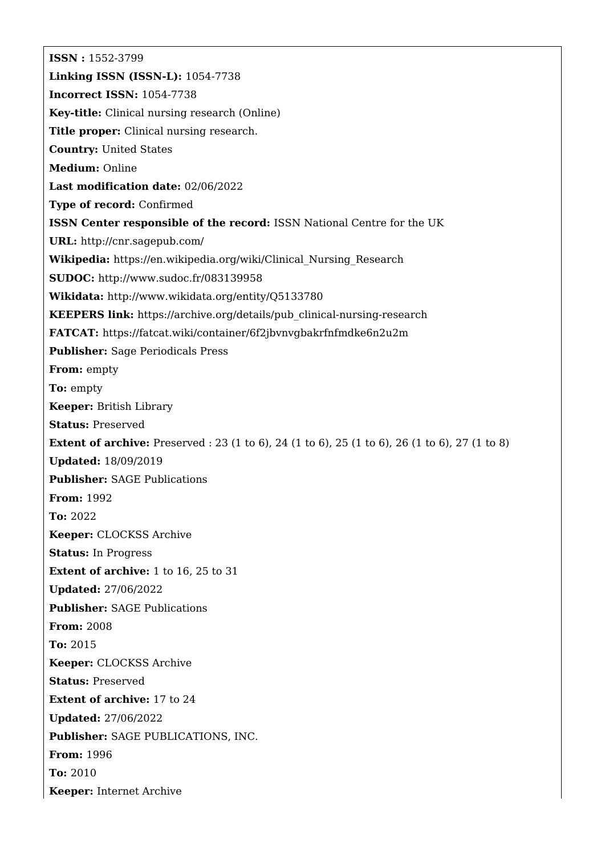**ISSN :** 1552-3799 **Linking ISSN (ISSN-L):** 1054-7738 **Incorrect ISSN:** 1054-7738 **Key-title:** Clinical nursing research (Online) **Title proper:** Clinical nursing research. **Country:** United States **Medium:** Online **Last modification date:** 02/06/2022 **Type of record:** Confirmed **ISSN Center responsible of the record:** ISSN National Centre for the UK **URL:** <http://cnr.sagepub.com/> **Wikipedia:** [https://en.wikipedia.org/wiki/Clinical\\_Nursing\\_Research](https://en.wikipedia.org/wiki/Clinical_Nursing_Research) **SUDOC:** <http://www.sudoc.fr/083139958> **Wikidata:** <http://www.wikidata.org/entity/Q5133780> **KEEPERS link:** [https://archive.org/details/pub\\_clinical-nursing-research](https://archive.org/details/pub_clinical-nursing-research) **FATCAT:** <https://fatcat.wiki/container/6f2jbvnvgbakrfnfmdke6n2u2m> **Publisher:** Sage Periodicals Press **From:** empty **To:** empty **Keeper:** British Library **Status:** Preserved **Extent of archive:** Preserved : 23 (1 to 6), 24 (1 to 6), 25 (1 to 6), 26 (1 to 6), 27 (1 to 8) **Updated:** 18/09/2019 **Publisher:** SAGE Publications **From:** 1992 **To:** 2022 **Keeper:** CLOCKSS Archive **Status:** In Progress **Extent of archive:** 1 to 16, 25 to 31 **Updated:** 27/06/2022 **Publisher:** SAGE Publications **From:** 2008 **To:** 2015 **Keeper:** CLOCKSS Archive **Status:** Preserved **Extent of archive:** 17 to 24 **Updated:** 27/06/2022 **Publisher:** SAGE PUBLICATIONS, INC. **From:** 1996 **To:** 2010 **Keeper:** Internet Archive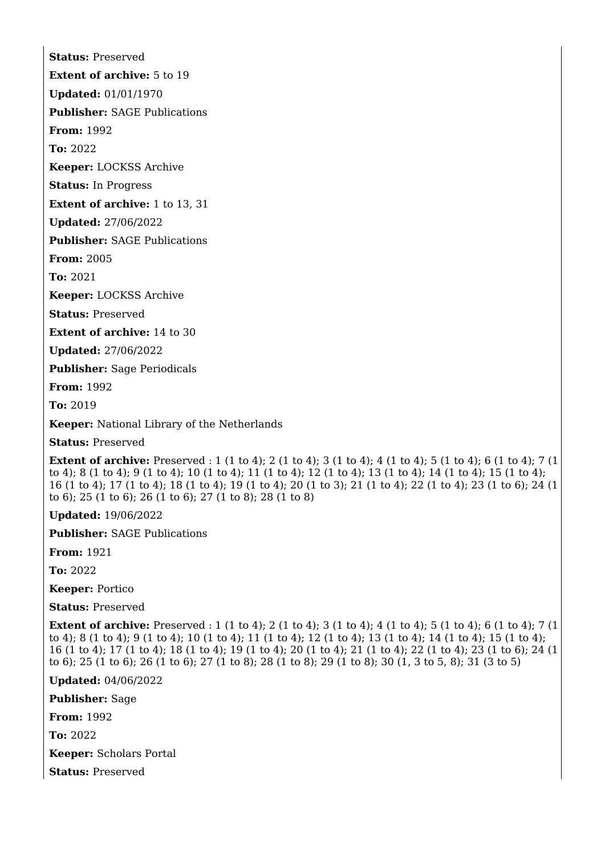**Extent of archive:** 5 to 19

**Updated:** 01/01/1970

**Status:** Preserved

**Publisher:** SAGE Publications

**From:** 1992

**To:** 2022

**Keeper:** LOCKSS Archive

**Status:** In Progress

**Extent of archive:** 1 to 13, 31

**Updated:** 27/06/2022

**Publisher:** SAGE Publications

**From:** 2005

**To:** 2021

**Keeper:** LOCKSS Archive

**Status:** Preserved

**Extent of archive:** 14 to 30

**Updated:** 27/06/2022

**Publisher:** Sage Periodicals

**From:** 1992

**To:** 2019

**Keeper:** National Library of the Netherlands

**Status:** Preserved

**Extent of archive:** Preserved : 1 (1 to 4); 2 (1 to 4); 3 (1 to 4); 4 (1 to 4); 5 (1 to 4); 6 (1 to 4); 7 (1 to 4); 8 (1 to 4); 9 (1 to 4); 10 (1 to 4); 11 (1 to 4); 12 (1 to 4); 13 (1 to 4); 14 (1 to 4); 15 (1 to 4); 16 (1 to 4); 17 (1 to 4); 18 (1 to 4); 19 (1 to 4); 20 (1 to 3); 21 (1 to 4); 22 (1 to 4); 23 (1 to 6); 24 (1 to 6); 25 (1 to 6); 26 (1 to 6); 27 (1 to 8); 28 (1 to 8)

**Updated:** 19/06/2022

**Publisher:** SAGE Publications

**From:** 1921

**To:** 2022

**Keeper:** Portico

**Status:** Preserved

**Extent of archive:** Preserved : 1 (1 to 4); 2 (1 to 4); 3 (1 to 4); 4 (1 to 4); 5 (1 to 4); 6 (1 to 4); 7 (1 to 4); 8 (1 to 4); 9 (1 to 4); 10 (1 to 4); 11 (1 to 4); 12 (1 to 4); 13 (1 to 4); 14 (1 to 4); 15 (1 to 4); 16 (1 to 4); 17 (1 to 4); 18 (1 to 4); 19 (1 to 4); 20 (1 to 4); 21 (1 to 4); 22 (1 to 4); 23 (1 to 6); 24 (1 to 6); 25 (1 to 6); 26 (1 to 6); 27 (1 to 8); 28 (1 to 8); 29 (1 to 8); 30 (1, 3 to 5, 8); 31 (3 to 5)

**Updated:** 04/06/2022

**Publisher:** Sage

**From:** 1992

**To:** 2022

**Keeper:** Scholars Portal

**Status:** Preserved